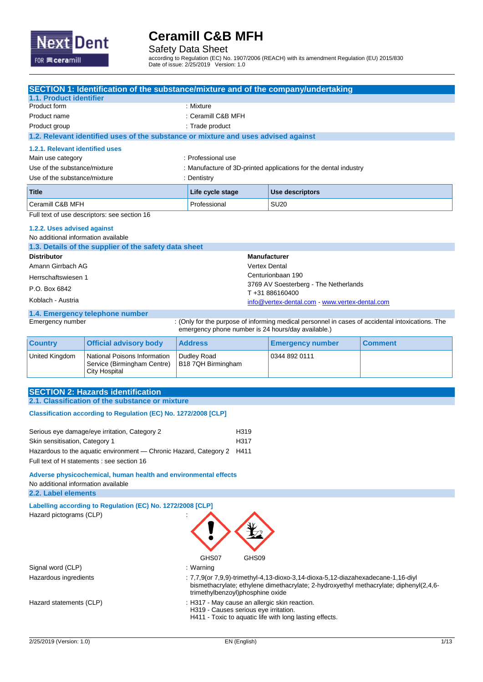

Safety Data Sheet

according to Regulation (EC) No. 1907/2006 (REACH) with its amendment Regulation (EU) 2015/830 Date of issue: 2/25/2019 Version: 1.0

|                                                                                                        | <b>SECTION 1: Identification of the substance/mixture and of the company/undertaking</b>    |                                                    |                      |                                                                                                  |                |  |
|--------------------------------------------------------------------------------------------------------|---------------------------------------------------------------------------------------------|----------------------------------------------------|----------------------|--------------------------------------------------------------------------------------------------|----------------|--|
| 1.1. Product identifier                                                                                |                                                                                             |                                                    |                      |                                                                                                  |                |  |
| Product form                                                                                           |                                                                                             | : Mixture                                          |                      |                                                                                                  |                |  |
| Product name                                                                                           |                                                                                             | : Ceramill C&B MFH                                 |                      |                                                                                                  |                |  |
| Product group                                                                                          |                                                                                             | : Trade product                                    |                      |                                                                                                  |                |  |
|                                                                                                        | 1.2. Relevant identified uses of the substance or mixture and uses advised against          |                                                    |                      |                                                                                                  |                |  |
| 1.2.1. Relevant identified uses                                                                        |                                                                                             |                                                    |                      |                                                                                                  |                |  |
| Main use category                                                                                      |                                                                                             | : Professional use                                 |                      |                                                                                                  |                |  |
| Use of the substance/mixture<br>Use of the substance/mixture                                           |                                                                                             | : Dentistry                                        |                      | : Manufacture of 3D-printed applications for the dental industry                                 |                |  |
|                                                                                                        |                                                                                             |                                                    |                      |                                                                                                  |                |  |
| <b>Title</b>                                                                                           |                                                                                             | Life cycle stage                                   |                      | <b>Use descriptors</b>                                                                           |                |  |
| Ceramill C&B MFH                                                                                       | Full text of use descriptors: see section 16                                                | Professional                                       |                      | <b>SU20</b>                                                                                      |                |  |
|                                                                                                        |                                                                                             |                                                    |                      |                                                                                                  |                |  |
| 1.2.2. Uses advised against<br>No additional information available                                     |                                                                                             |                                                    |                      |                                                                                                  |                |  |
|                                                                                                        | 1.3. Details of the supplier of the safety data sheet                                       |                                                    |                      |                                                                                                  |                |  |
| <b>Distributor</b>                                                                                     |                                                                                             |                                                    | <b>Manufacturer</b>  |                                                                                                  |                |  |
| Amann Girrbach AG                                                                                      |                                                                                             |                                                    | <b>Vertex Dental</b> |                                                                                                  |                |  |
| Herrschaftswiesen 1                                                                                    |                                                                                             |                                                    |                      | Centurionbaan 190                                                                                |                |  |
| P.O. Box 6842                                                                                          |                                                                                             |                                                    |                      | 3769 AV Soesterberg - The Netherlands                                                            |                |  |
| Koblach - Austria                                                                                      |                                                                                             |                                                    |                      | T+31886160400                                                                                    |                |  |
|                                                                                                        |                                                                                             |                                                    |                      | info@vertex-dental.com - www.vertex-dental.com                                                   |                |  |
| Emergency number                                                                                       | 1.4. Emergency telephone number                                                             | emergency phone number is 24 hours/day available.) |                      | : (Only for the purpose of informing medical personnel in cases of accidental intoxications. The |                |  |
| <b>Country</b>                                                                                         | <b>Official advisory body</b>                                                               | <b>Address</b>                                     |                      | <b>Emergency number</b>                                                                          | <b>Comment</b> |  |
| United Kingdom                                                                                         | National Poisons Information<br>Service (Birmingham Centre)<br><b>City Hospital</b>         | Dudley Road<br>B18 7QH Birmingham                  |                      | 0344 892 0111                                                                                    |                |  |
|                                                                                                        |                                                                                             |                                                    |                      |                                                                                                  |                |  |
|                                                                                                        | <b>SECTION 2: Hazards identification</b><br>2.1. Classification of the substance or mixture |                                                    |                      |                                                                                                  |                |  |
|                                                                                                        |                                                                                             |                                                    |                      |                                                                                                  |                |  |
|                                                                                                        | Classification according to Regulation (EC) No. 1272/2008 [CLP]                             |                                                    |                      |                                                                                                  |                |  |
|                                                                                                        | Serious eye damage/eye irritation, Category 2                                               | H319                                               |                      |                                                                                                  |                |  |
| Skin sensitisation, Category 1                                                                         |                                                                                             | H317                                               |                      |                                                                                                  |                |  |
|                                                                                                        | Hazardous to the aquatic environment — Chronic Hazard, Category 2 H411                      |                                                    |                      |                                                                                                  |                |  |
|                                                                                                        | Full text of H statements : see section 16                                                  |                                                    |                      |                                                                                                  |                |  |
|                                                                                                        |                                                                                             |                                                    |                      |                                                                                                  |                |  |
| Adverse physicochemical, human health and environmental effects<br>No additional information available |                                                                                             |                                                    |                      |                                                                                                  |                |  |
| 2.2. Label elements                                                                                    |                                                                                             |                                                    |                      |                                                                                                  |                |  |
|                                                                                                        | Labelling according to Regulation (EC) No. 1272/2008 [CLP]                                  |                                                    |                      |                                                                                                  |                |  |
| Hazard pictograms (CLP)                                                                                |                                                                                             |                                                    |                      |                                                                                                  |                |  |
|                                                                                                        |                                                                                             |                                                    |                      |                                                                                                  |                |  |
|                                                                                                        |                                                                                             |                                                    |                      |                                                                                                  |                |  |
|                                                                                                        |                                                                                             |                                                    |                      |                                                                                                  |                |  |
|                                                                                                        |                                                                                             | GHS07                                              | GHS09                |                                                                                                  |                |  |
| Signal word (CLP)                                                                                      |                                                                                             | : Warning                                          |                      |                                                                                                  |                |  |
| Hazardous ingredients                                                                                  |                                                                                             |                                                    |                      | : $7,7,9$ (or $7,9,9$ )-trimethyl-4,13-dioxo-3,14-dioxa-5,12-diazahexadecane-1,16-diyl           |                |  |
|                                                                                                        |                                                                                             | trimethylbenzoyl)phosphine oxide                   |                      | bismethacrylate; ethylene dimethacrylate; 2-hydroxyethyl methacrylate; diphenyl(2,4,6-           |                |  |
| Hazard statements (CLP)                                                                                |                                                                                             | : H317 - May cause an allergic skin reaction.      |                      |                                                                                                  |                |  |
|                                                                                                        |                                                                                             | H319 - Causes serious eye irritation.              |                      |                                                                                                  |                |  |
|                                                                                                        |                                                                                             |                                                    |                      | H411 - Toxic to aquatic life with long lasting effects.                                          |                |  |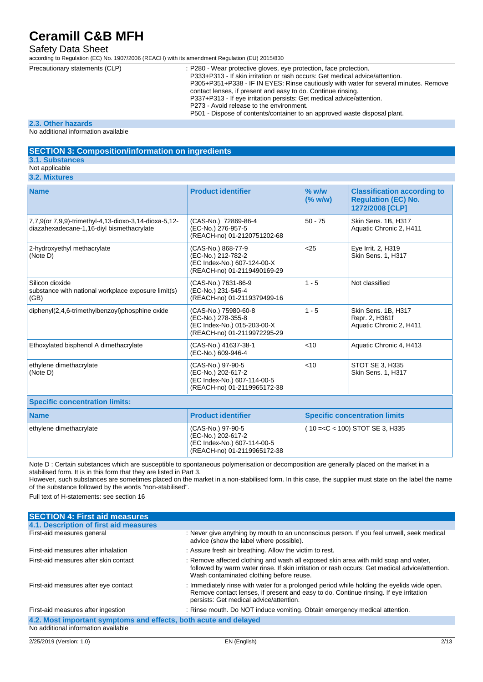### Safety Data Sheet

according to Regulation (EC) No. 1907/2006 (REACH) with its amendment Regulation (EU) 2015/830

| Precautionary statements (CLP) | : P280 - Wear protective gloves, eye protection, face protection.<br>P333+P313 - If skin irritation or rash occurs: Get medical advice/attention.<br>P305+P351+P338 - IF IN EYES: Rinse cautiously with water for several minutes. Remove<br>contact lenses, if present and easy to do. Continue rinsing.<br>P337+P313 - If eye irritation persists: Get medical advice/attention.<br>P273 - Avoid release to the environment. |
|--------------------------------|--------------------------------------------------------------------------------------------------------------------------------------------------------------------------------------------------------------------------------------------------------------------------------------------------------------------------------------------------------------------------------------------------------------------------------|
|                                | P501 - Dispose of contents/container to an approved waste disposal plant.                                                                                                                                                                                                                                                                                                                                                      |
|                                |                                                                                                                                                                                                                                                                                                                                                                                                                                |

#### **2.3. Other hazards**

No additional information available

#### **SECTION 3: Composition/information on ingredients 3.1. Substances**

#### Not applicable

**3.2. Mixtures**

| <b>Name</b>                                                                                        | <b>Product identifier</b>                                                                                | $%$ w/w<br>(% w/w) | <b>Classification according to</b><br><b>Regulation (EC) No.</b><br>1272/2008 [CLP] |
|----------------------------------------------------------------------------------------------------|----------------------------------------------------------------------------------------------------------|--------------------|-------------------------------------------------------------------------------------|
| 7,7,9(or 7,9,9)-trimethyl-4,13-dioxo-3,14-dioxa-5,12-<br>diazahexadecane-1,16-diyl bismethacrylate | (CAS-No.) 72869-86-4<br>(EC-No.) 276-957-5<br>(REACH-no) 01-2120751202-68                                | $50 - 75$          | Skin Sens. 1B, H317<br>Aquatic Chronic 2, H411                                      |
| 2-hydroxyethyl methacrylate<br>(Note D)                                                            | (CAS-No.) 868-77-9<br>(EC-No.) 212-782-2<br>(EC Index-No.) 607-124-00-X<br>(REACH-no) 01-2119490169-29   | < 25               | Eye Irrit. 2, H319<br>Skin Sens. 1, H317                                            |
| Silicon dioxide<br>substance with national workplace exposure limit(s)<br>(GB)                     | (CAS-No.) 7631-86-9<br>(EC-No.) 231-545-4<br>(REACH-no) 01-2119379499-16                                 | $1 - 5$            | Not classified                                                                      |
| diphenyl(2,4,6-trimethylbenzoyl)phosphine oxide                                                    | (CAS-No.) 75980-60-8<br>(EC-No.) 278-355-8<br>(EC Index-No.) 015-203-00-X<br>(REACH-no) 01-2119972295-29 | $1 - 5$            | Skin Sens. 1B, H317<br>Repr. 2, H361f<br>Aquatic Chronic 2, H411                    |
| Ethoxylated bisphenol A dimethacrylate                                                             | (CAS-No.) 41637-38-1<br>(EC-No.) 609-946-4                                                               | $<$ 10             | Aquatic Chronic 4, H413                                                             |
| ethylene dimethacrylate<br>(Note D)                                                                | (CAS-No.) 97-90-5<br>(EC-No.) 202-617-2<br>(EC Index-No.) 607-114-00-5<br>(REACH-no) 01-2119965172-38    | 10<                | STOT SE 3, H335<br><b>Skin Sens. 1. H317</b>                                        |
| <b>Specific concentration limits:</b>                                                              |                                                                                                          |                    |                                                                                     |
| <b>Name</b>                                                                                        | <b>Product identifier</b>                                                                                |                    | <b>Specific concentration limits</b>                                                |
| ethylene dimethacrylate                                                                            | (CAS-No.) 97-90-5                                                                                        |                    | (10 = < C < 100) STOT SE 3, H335                                                    |

Note D : Certain substances which are susceptible to spontaneous polymerisation or decomposition are generally placed on the market in a stabilised form. It is in this form that they are listed in Part 3.

 $(EC-No.) 202-617-2$ (EC Index-No.) 607-114-00-5 (REACH-no) 01-2119965172-38

However, such substances are sometimes placed on the market in a non-stabilised form. In this case, the supplier must state on the label the name of the substance followed by the words "non-stabilised".

Full text of H-statements: see section 16

| <b>SECTION 4: First aid measures</b>                             |                                                                                                                                                                                                                                   |
|------------------------------------------------------------------|-----------------------------------------------------------------------------------------------------------------------------------------------------------------------------------------------------------------------------------|
| 4.1. Description of first aid measures                           |                                                                                                                                                                                                                                   |
| First-aid measures general                                       | : Never give anything by mouth to an unconscious person. If you feel unwell, seek medical<br>advice (show the label where possible).                                                                                              |
| First-aid measures after inhalation                              | : Assure fresh air breathing. Allow the victim to rest.                                                                                                                                                                           |
| First-aid measures after skin contact                            | : Remove affected clothing and wash all exposed skin area with mild soap and water,<br>followed by warm water rinse. If skin irritation or rash occurs: Get medical advice/attention.<br>Wash contaminated clothing before reuse. |
| First-aid measures after eye contact                             | : Immediately rinse with water for a prolonged period while holding the eyelids wide open.<br>Remove contact lenses, if present and easy to do. Continue rinsing. If eye irritation<br>persists: Get medical advice/attention.    |
| First-aid measures after ingestion                               | : Rinse mouth. Do NOT induce vomiting. Obtain emergency medical attention.                                                                                                                                                        |
| 4.2. Most important symptoms and effects, both acute and delayed |                                                                                                                                                                                                                                   |
| No additional information available                              |                                                                                                                                                                                                                                   |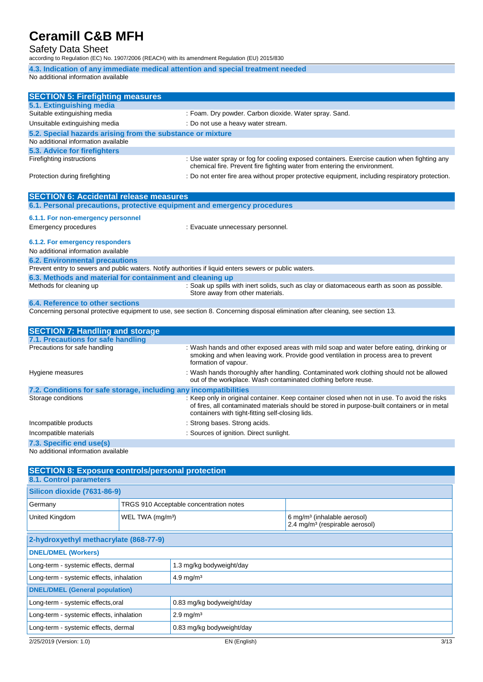### Safety Data Sheet

according to Regulation (EC) No. 1907/2006 (REACH) with its amendment Regulation (EU) 2015/830

**4.3. Indication of any immediate medical attention and special treatment needed** No additional information available

| <b>SECTION 5: Firefighting measures</b>                                                                 |                                                                                                                                                                          |
|---------------------------------------------------------------------------------------------------------|--------------------------------------------------------------------------------------------------------------------------------------------------------------------------|
| 5.1. Extinguishing media                                                                                |                                                                                                                                                                          |
| Suitable extinguishing media                                                                            | : Foam. Dry powder. Carbon dioxide. Water spray. Sand.                                                                                                                   |
| Unsuitable extinguishing media                                                                          | : Do not use a heavy water stream.                                                                                                                                       |
| 5.2. Special hazards arising from the substance or mixture                                              |                                                                                                                                                                          |
| No additional information available                                                                     |                                                                                                                                                                          |
| 5.3. Advice for firefighters                                                                            |                                                                                                                                                                          |
| Firefighting instructions                                                                               | : Use water spray or fog for cooling exposed containers. Exercise caution when fighting any<br>chemical fire. Prevent fire fighting water from entering the environment. |
| Protection during firefighting                                                                          | : Do not enter fire area without proper protective equipment, including respiratory protection.                                                                          |
| <b>SECTION 6: Accidental release measures</b>                                                           |                                                                                                                                                                          |
| 6.1. Personal precautions, protective equipment and emergency procedures                                |                                                                                                                                                                          |
| 6.1.1. For non-emergency personnel                                                                      |                                                                                                                                                                          |
| <b>Emergency procedures</b>                                                                             | : Evacuate unnecessary personnel.                                                                                                                                        |
| 6.1.2. For emergency responders                                                                         |                                                                                                                                                                          |
| No additional information available                                                                     |                                                                                                                                                                          |
| <b>6.2. Environmental precautions</b>                                                                   |                                                                                                                                                                          |
| Prevent entry to sewers and public waters. Notify authorities if liquid enters sewers or public waters. |                                                                                                                                                                          |
| 6.3. Methods and material for containment and cleaning up                                               |                                                                                                                                                                          |
| Methods for cleaning up                                                                                 | : Soak up spills with inert solids, such as clay or diatomaceous earth as soon as possible.<br>Store away from other materials.                                          |
| 6.4. Reference to other sections                                                                        |                                                                                                                                                                          |
|                                                                                                         | Concerning personal protective equipment to use, see section 8. Concerning disposal elimination after cleaning, see section 13.                                          |
| <b>SECTION 7: Handling and storage</b>                                                                  |                                                                                                                                                                          |
| 7.1. Precautions for safe handling                                                                      |                                                                                                                                                                          |

| 7.1. Precautions for safe nandling                                |                                                                                                                                                                                                                                                   |
|-------------------------------------------------------------------|---------------------------------------------------------------------------------------------------------------------------------------------------------------------------------------------------------------------------------------------------|
| Precautions for safe handling                                     | : Wash hands and other exposed areas with mild soap and water before eating, drinking or<br>smoking and when leaving work. Provide good ventilation in process area to prevent<br>formation of vapour.                                            |
| Hygiene measures                                                  | : Wash hands thoroughly after handling. Contaminated work clothing should not be allowed<br>out of the workplace. Wash contaminated clothing before reuse.                                                                                        |
| 7.2. Conditions for safe storage, including any incompatibilities |                                                                                                                                                                                                                                                   |
| Storage conditions                                                | : Keep only in original container. Keep container closed when not in use. To avoid the risks<br>of fires, all contaminated materials should be stored in purpose-built containers or in metal<br>containers with tight-fitting self-closing lids. |
| Incompatible products                                             | : Strong bases. Strong acids.                                                                                                                                                                                                                     |
| Incompatible materials                                            | : Sources of ignition. Direct sunlight.                                                                                                                                                                                                           |
| 7.3. Specific end use(s)                                          |                                                                                                                                                                                                                                                   |

No additional information available

| <b>SECTION 8: Exposure controls/personal protection</b>          |                                                                   |                                         |                                                                                       |      |  |  |
|------------------------------------------------------------------|-------------------------------------------------------------------|-----------------------------------------|---------------------------------------------------------------------------------------|------|--|--|
| 8.1. Control parameters                                          |                                                                   |                                         |                                                                                       |      |  |  |
|                                                                  | <b>Silicon dioxide (7631-86-9)</b>                                |                                         |                                                                                       |      |  |  |
| Germany                                                          |                                                                   | TRGS 910 Acceptable concentration notes |                                                                                       |      |  |  |
| United Kingdom<br>WEL TWA (mg/m <sup>3</sup> )                   |                                                                   |                                         | 6 mg/m <sup>3</sup> (inhalable aerosol)<br>2.4 mg/m <sup>3</sup> (respirable aerosol) |      |  |  |
| 2-hydroxyethyl methacrylate (868-77-9)                           |                                                                   |                                         |                                                                                       |      |  |  |
| <b>DNEL/DMEL (Workers)</b>                                       |                                                                   |                                         |                                                                                       |      |  |  |
| Long-term - systemic effects, dermal<br>1.3 mg/kg bodyweight/day |                                                                   |                                         |                                                                                       |      |  |  |
| Long-term - systemic effects, inhalation                         |                                                                   | $4.9$ mg/m <sup>3</sup>                 |                                                                                       |      |  |  |
| <b>DNEL/DMEL (General population)</b>                            |                                                                   |                                         |                                                                                       |      |  |  |
| Long-term - systemic effects, oral<br>0.83 mg/kg bodyweight/day  |                                                                   |                                         |                                                                                       |      |  |  |
| Long-term - systemic effects, inhalation                         |                                                                   | $2.9$ mg/m <sup>3</sup>                 |                                                                                       |      |  |  |
|                                                                  | 0.83 mg/kg bodyweight/day<br>Long-term - systemic effects, dermal |                                         |                                                                                       |      |  |  |
| 2/25/2019 (Version: 1.0)                                         |                                                                   | EN (English)                            |                                                                                       | 3/13 |  |  |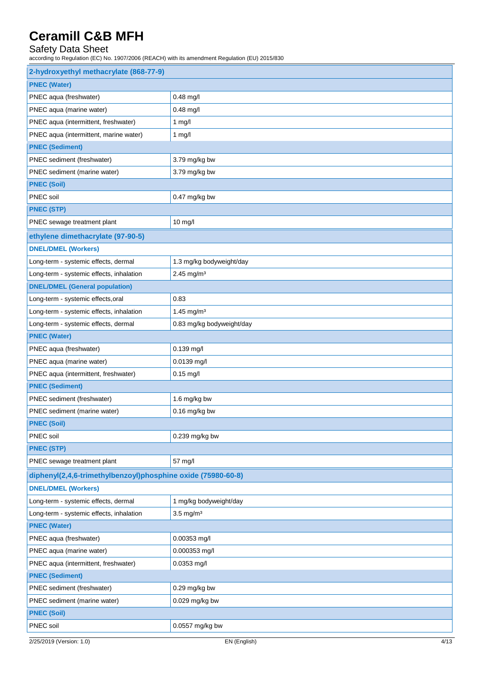## Safety Data Sheet

| 2-hydroxyethyl methacrylate (868-77-9)                       |                           |
|--------------------------------------------------------------|---------------------------|
| <b>PNEC (Water)</b>                                          |                           |
| PNEC aqua (freshwater)                                       | 0.48 mg/l                 |
| PNEC aqua (marine water)                                     | $0.48$ mg/l               |
| PNEC aqua (intermittent, freshwater)                         | $1$ mg/l                  |
| PNEC aqua (intermittent, marine water)                       | $1$ mg/l                  |
| <b>PNEC (Sediment)</b>                                       |                           |
| PNEC sediment (freshwater)                                   | 3.79 mg/kg bw             |
| PNEC sediment (marine water)                                 | 3.79 mg/kg bw             |
| <b>PNEC (Soil)</b>                                           |                           |
| PNEC soil                                                    | 0.47 mg/kg bw             |
| <b>PNEC (STP)</b>                                            |                           |
| PNEC sewage treatment plant                                  | $10$ mg/l                 |
| ethylene dimethacrylate (97-90-5)                            |                           |
| <b>DNEL/DMEL (Workers)</b>                                   |                           |
| Long-term - systemic effects, dermal                         | 1.3 mg/kg bodyweight/day  |
| Long-term - systemic effects, inhalation                     | $2.45$ mg/m <sup>3</sup>  |
| <b>DNEL/DMEL (General population)</b>                        |                           |
| Long-term - systemic effects, oral                           | 0.83                      |
| Long-term - systemic effects, inhalation                     | 1.45 mg/m <sup>3</sup>    |
| Long-term - systemic effects, dermal                         | 0.83 mg/kg bodyweight/day |
| <b>PNEC (Water)</b>                                          |                           |
| PNEC aqua (freshwater)                                       | 0.139 mg/l                |
| PNEC aqua (marine water)                                     | 0.0139 mg/l               |
| PNEC aqua (intermittent, freshwater)                         | $0.15$ mg/l               |
| <b>PNEC (Sediment)</b>                                       |                           |
| PNEC sediment (freshwater)                                   | 1.6 mg/kg bw              |
| PNEC sediment (marine water)                                 | 0.16 mg/kg bw             |
| <b>PNEC (Soil)</b>                                           |                           |
| PNEC soil                                                    | 0.239 mg/kg bw            |
| <b>PNEC (STP)</b>                                            |                           |
| PNEC sewage treatment plant                                  | 57 mg/l                   |
| diphenyl(2,4,6-trimethylbenzoyl)phosphine oxide (75980-60-8) |                           |
| <b>DNEL/DMEL (Workers)</b>                                   |                           |
| Long-term - systemic effects, dermal                         | 1 mg/kg bodyweight/day    |
| Long-term - systemic effects, inhalation                     | $3.5$ mg/m <sup>3</sup>   |
| <b>PNEC (Water)</b>                                          |                           |
| PNEC aqua (freshwater)                                       | 0.00353 mg/l              |
| PNEC aqua (marine water)                                     | 0.000353 mg/l             |
| PNEC aqua (intermittent, freshwater)                         | 0.0353 mg/l               |
| <b>PNEC (Sediment)</b>                                       |                           |
| PNEC sediment (freshwater)                                   | 0.29 mg/kg bw             |
| PNEC sediment (marine water)                                 | 0.029 mg/kg bw            |
| <b>PNEC (Soil)</b>                                           |                           |
| PNEC soil                                                    | 0.0557 mg/kg bw           |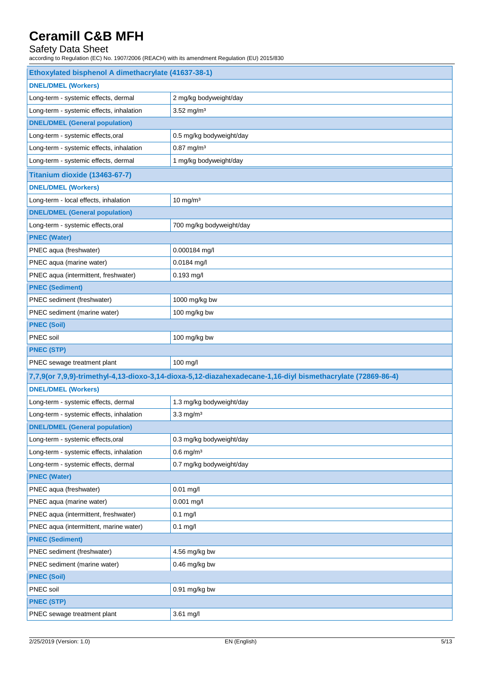### Safety Data Sheet

| Ethoxylated bisphenol A dimethacrylate (41637-38-1)                                                         |                          |  |
|-------------------------------------------------------------------------------------------------------------|--------------------------|--|
| <b>DNEL/DMEL (Workers)</b>                                                                                  |                          |  |
| Long-term - systemic effects, dermal                                                                        | 2 mg/kg bodyweight/day   |  |
| Long-term - systemic effects, inhalation                                                                    | $3.52$ mg/m <sup>3</sup> |  |
| <b>DNEL/DMEL (General population)</b>                                                                       |                          |  |
| Long-term - systemic effects, oral                                                                          | 0.5 mg/kg bodyweight/day |  |
| Long-term - systemic effects, inhalation                                                                    | $0.87$ mg/m <sup>3</sup> |  |
| Long-term - systemic effects, dermal                                                                        | 1 mg/kg bodyweight/day   |  |
| Titanium dioxide (13463-67-7)                                                                               |                          |  |
| <b>DNEL/DMEL (Workers)</b>                                                                                  |                          |  |
| Long-term - local effects, inhalation                                                                       | $10$ mg/m $3$            |  |
| <b>DNEL/DMEL (General population)</b>                                                                       |                          |  |
| Long-term - systemic effects, oral                                                                          | 700 mg/kg bodyweight/day |  |
| <b>PNEC (Water)</b>                                                                                         |                          |  |
| PNEC aqua (freshwater)                                                                                      | 0.000184 mg/l            |  |
| PNEC aqua (marine water)                                                                                    | 0.0184 mg/l              |  |
| PNEC aqua (intermittent, freshwater)                                                                        | $0.193$ mg/l             |  |
| <b>PNEC (Sediment)</b>                                                                                      |                          |  |
| PNEC sediment (freshwater)                                                                                  | 1000 mg/kg bw            |  |
| PNEC sediment (marine water)                                                                                | 100 mg/kg bw             |  |
| <b>PNEC (Soil)</b>                                                                                          |                          |  |
| PNEC soil                                                                                                   | 100 mg/kg bw             |  |
| <b>PNEC (STP)</b>                                                                                           |                          |  |
| PNEC sewage treatment plant                                                                                 | 100 mg/l                 |  |
| 7,7,9(or 7,9,9)-trimethyl-4,13-dioxo-3,14-dioxa-5,12-diazahexadecane-1,16-diyl bismethacrylate (72869-86-4) |                          |  |
| <b>DNEL/DMEL (Workers)</b>                                                                                  |                          |  |
| Long-term - systemic effects, dermal                                                                        | 1.3 mg/kg bodyweight/day |  |
| Long-term - systemic effects, inhalation                                                                    | $3.3$ mg/m <sup>3</sup>  |  |
| <b>DNEL/DMEL (General population)</b>                                                                       |                          |  |
| Long-term - systemic effects, oral                                                                          | 0.3 mg/kg bodyweight/day |  |
| Long-term - systemic effects, inhalation                                                                    | $0.6$ mg/m <sup>3</sup>  |  |
| Long-term - systemic effects, dermal                                                                        | 0.7 mg/kg bodyweight/day |  |
| <b>PNEC (Water)</b>                                                                                         |                          |  |
| PNEC aqua (freshwater)                                                                                      | $0.01$ mg/l              |  |
| PNEC aqua (marine water)                                                                                    | $0.001$ mg/l             |  |
| PNEC aqua (intermittent, freshwater)                                                                        | $0.1$ mg/l               |  |
| PNEC aqua (intermittent, marine water)                                                                      | $0.1$ mg/l               |  |
| <b>PNEC (Sediment)</b>                                                                                      |                          |  |
| PNEC sediment (freshwater)                                                                                  | 4.56 mg/kg bw            |  |
| PNEC sediment (marine water)                                                                                | 0.46 mg/kg bw            |  |
| <b>PNEC (Soil)</b>                                                                                          |                          |  |
| PNEC soil                                                                                                   | 0.91 mg/kg bw            |  |
| <b>PNEC (STP)</b>                                                                                           |                          |  |
| PNEC sewage treatment plant                                                                                 | 3.61 mg/l                |  |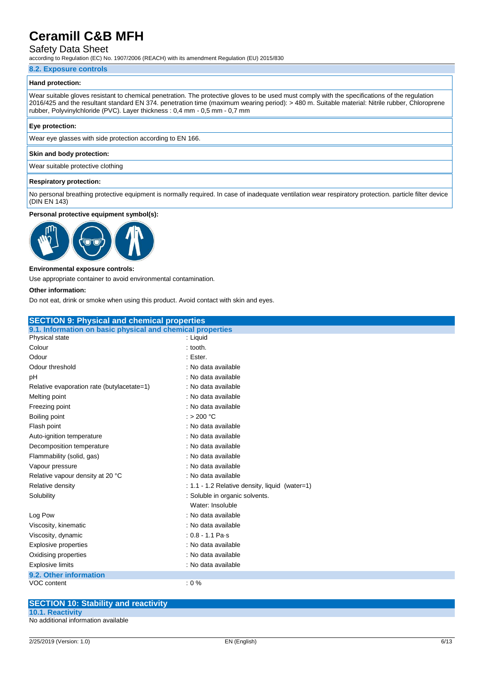### Safety Data Sheet

according to Regulation (EC) No. 1907/2006 (REACH) with its amendment Regulation (EU) 2015/830

#### **8.2. Exposure controls**

#### **Hand protection:**

Wear suitable gloves resistant to chemical penetration. The protective gloves to be used must comply with the specifications of the regulation 2016/425 and the resultant standard EN 374. penetration time (maximum wearing period): > 480 m. Suitable material: Nitrile rubber, Chloroprene rubber, Polyvinylchloride (PVC). Layer thickness : 0,4 mm - 0,5 mm - 0,7 mm

#### **Eye protection:**

Wear eye glasses with side protection according to EN 166.

#### **Skin and body protection:**

Wear suitable protective clothing

#### **Respiratory protection:**

No personal breathing protective equipment is normally required. In case of inadequate ventilation wear respiratory protection. particle filter device (DIN EN 143)

#### **Personal protective equipment symbol(s):**



#### **Environmental exposure controls:**

Use appropriate container to avoid environmental contamination.

#### **Other information:**

Do not eat, drink or smoke when using this product. Avoid contact with skin and eyes.

| <b>SECTION 9: Physical and chemical properties</b>         |                                                |
|------------------------------------------------------------|------------------------------------------------|
| 9.1. Information on basic physical and chemical properties |                                                |
| Physical state                                             | : Liquid                                       |
| Colour                                                     | $:$ tooth.                                     |
| Odour                                                      | : Ester.                                       |
| Odour threshold                                            | : No data available                            |
| рH                                                         | : No data available                            |
| Relative evaporation rate (butylacetate=1)                 | : No data available                            |
| Melting point                                              | : No data available                            |
| Freezing point                                             | : No data available                            |
| Boiling point                                              | : > 200 $^{\circ}$ C                           |
| Flash point                                                | : No data available                            |
| Auto-ignition temperature                                  | : No data available                            |
| Decomposition temperature                                  | : No data available                            |
| Flammability (solid, gas)                                  | : No data available                            |
| Vapour pressure                                            | : No data available                            |
| Relative vapour density at 20 °C                           | : No data available                            |
| Relative density                                           | : 1.1 - 1.2 Relative density, liquid (water=1) |
| Solubility                                                 | : Soluble in organic solvents.                 |
|                                                            | Water: Insoluble                               |
| Log Pow                                                    | : No data available                            |
| Viscosity, kinematic                                       | : No data available                            |
| Viscosity, dynamic                                         | $: 0.8 - 1.1$ Pa s                             |
| Explosive properties                                       | : No data available                            |
| Oxidising properties                                       | : No data available                            |
| <b>Explosive limits</b>                                    | : No data available                            |
| 9.2. Other information                                     |                                                |
| VOC content                                                | $: 0 \%$                                       |
|                                                            |                                                |

| <b>SECTION 10: Stability and reactivity</b> |  |
|---------------------------------------------|--|
| <b>10.1. Reactivity</b>                     |  |
| No additional information available         |  |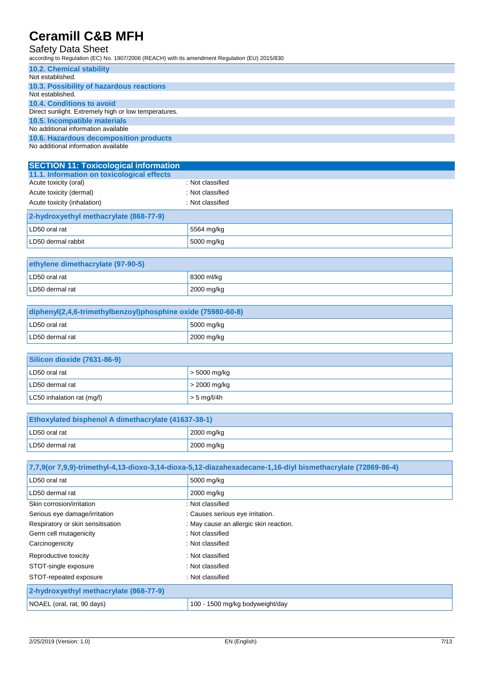### Safety Data Sheet

| <b>10.2. Chemical stability</b>                      |
|------------------------------------------------------|
| Not established.                                     |
| 10.3. Possibility of hazardous reactions             |
| Not established.                                     |
| 10.4. Conditions to avoid                            |
| Direct sunlight. Extremely high or low temperatures. |
| 10.5. Incompatible materials                         |
| No additional information available                  |
| 10.6. Hazardous decomposition products               |
| No additional information available                  |

| <b>SECTION 11: Toxicological information</b> |                  |  |  |
|----------------------------------------------|------------------|--|--|
| 11.1. Information on toxicological effects   |                  |  |  |
| Acute toxicity (oral)                        | : Not classified |  |  |
| Acute toxicity (dermal)                      | : Not classified |  |  |
| Acute toxicity (inhalation)                  | : Not classified |  |  |
| 2-hydroxyethyl methacrylate (868-77-9)       |                  |  |  |
| LD50 oral rat                                | 5564 mg/kg       |  |  |
| LD50 dermal rabbit                           | 5000 mg/kg       |  |  |
|                                              |                  |  |  |

| ethylene dimethacrylate (97-90-5) |                     |  |
|-----------------------------------|---------------------|--|
| LD50 oral rat                     | 8300 ml/kg          |  |
| LD50 dermal rat                   | $\sqrt{2000}$ mg/kg |  |

| diphenyl(2,4,6-trimethylbenzoyl)phosphine oxide (75980-60-8) |            |  |
|--------------------------------------------------------------|------------|--|
| LD50 oral rat                                                | 5000 mg/kg |  |
| LD50 dermal rat                                              | 2000 mg/kg |  |

| Silicon dioxide (7631-86-9) |                      |
|-----------------------------|----------------------|
| LD50 oral rat               | $\vert$ > 5000 mg/kg |
| LD50 dermal rat             | $\vert$ > 2000 mg/kg |
| LC50 inhalation rat (mg/l)  | $\vert$ > 5 mg/l/4h  |

| <b>Ethoxylated bisphenol A dimethacrylate (41637-38-1)</b> |            |  |
|------------------------------------------------------------|------------|--|
| LD50 oral rat                                              | 2000 mg/kg |  |
| LD50 dermal rat                                            | 2000 mg/kg |  |

| 7,7,9(or 7,9,9)-trimethyl-4,13-dioxo-3,14-dioxa-5,12-diazahexadecane-1,16-diyl bismethacrylate (72869-86-4) 7, |                                        |  |
|----------------------------------------------------------------------------------------------------------------|----------------------------------------|--|
| LD50 oral rat                                                                                                  | 5000 mg/kg                             |  |
| LD50 dermal rat                                                                                                | 2000 mg/kg                             |  |
| Skin corrosion/irritation                                                                                      | : Not classified                       |  |
| Serious eye damage/irritation                                                                                  | : Causes serious eye irritation.       |  |
| Respiratory or skin sensitisation                                                                              | : May cause an allergic skin reaction. |  |
| Germ cell mutagenicity                                                                                         | : Not classified                       |  |
| Carcinogenicity                                                                                                | : Not classified                       |  |
| Reproductive toxicity                                                                                          | : Not classified                       |  |
| STOT-single exposure                                                                                           | : Not classified                       |  |
| STOT-repeated exposure                                                                                         | : Not classified                       |  |
| 2-hydroxyethyl methacrylate (868-77-9)                                                                         |                                        |  |
| NOAEL (oral, rat, 90 days)                                                                                     | 100 - 1500 mg/kg bodyweight/day        |  |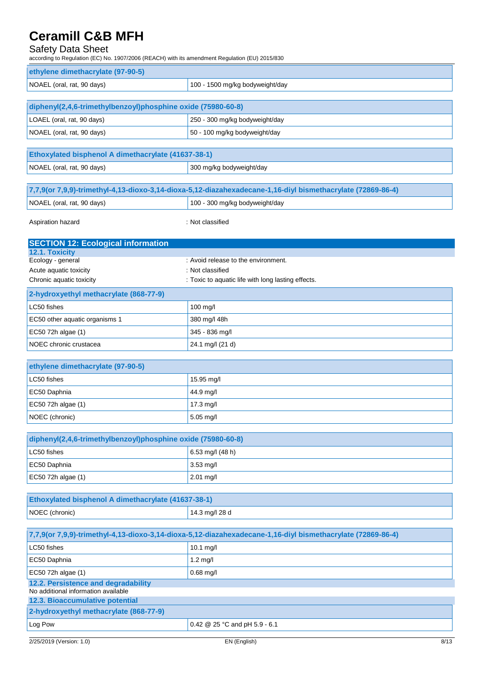### Safety Data Sheet

| ethylene dimethacrylate (97-90-5)                                          |                                                                                                             |  |  |  |
|----------------------------------------------------------------------------|-------------------------------------------------------------------------------------------------------------|--|--|--|
| NOAEL (oral, rat, 90 days)                                                 | 100 - 1500 mg/kg bodyweight/day                                                                             |  |  |  |
|                                                                            |                                                                                                             |  |  |  |
| diphenyl(2,4,6-trimethylbenzoyl)phosphine oxide (75980-60-8)               |                                                                                                             |  |  |  |
| LOAEL (oral, rat, 90 days)                                                 | 250 - 300 mg/kg bodyweight/day                                                                              |  |  |  |
| NOAEL (oral, rat, 90 days)                                                 | 50 - 100 mg/kg bodyweight/day                                                                               |  |  |  |
|                                                                            |                                                                                                             |  |  |  |
|                                                                            | Ethoxylated bisphenol A dimethacrylate (41637-38-1)                                                         |  |  |  |
| NOAEL (oral, rat, 90 days)                                                 | 300 mg/kg bodyweight/day                                                                                    |  |  |  |
|                                                                            |                                                                                                             |  |  |  |
|                                                                            | 7,7,9(or 7,9,9)-trimethyl-4,13-dioxo-3,14-dioxa-5,12-diazahexadecane-1,16-diyl bismethacrylate (72869-86-4) |  |  |  |
| NOAEL (oral, rat, 90 days)                                                 | 100 - 300 mg/kg bodyweight/day                                                                              |  |  |  |
| Aspiration hazard                                                          | : Not classified                                                                                            |  |  |  |
| <b>SECTION 12: Ecological information</b>                                  |                                                                                                             |  |  |  |
| 12.1. Toxicity<br>Ecology - general                                        | : Avoid release to the environment.                                                                         |  |  |  |
| Acute aquatic toxicity                                                     | : Not classified                                                                                            |  |  |  |
| Chronic aquatic toxicity                                                   | : Toxic to aquatic life with long lasting effects.                                                          |  |  |  |
| 2-hydroxyethyl methacrylate (868-77-9)                                     |                                                                                                             |  |  |  |
| LC50 fishes                                                                | 100 mg/l                                                                                                    |  |  |  |
| EC50 other aquatic organisms 1                                             | 380 mg/l 48h                                                                                                |  |  |  |
| EC50 72h algae (1)                                                         | 345 - 836 mg/l                                                                                              |  |  |  |
| NOEC chronic crustacea                                                     | 24.1 mg/l (21 d)                                                                                            |  |  |  |
|                                                                            |                                                                                                             |  |  |  |
| ethylene dimethacrylate (97-90-5)                                          |                                                                                                             |  |  |  |
| LC50 fishes                                                                | 15.95 mg/l                                                                                                  |  |  |  |
| EC50 Daphnia                                                               | 44.9 mg/l                                                                                                   |  |  |  |
| EC50 72h algae (1)                                                         | 17.3 mg/l                                                                                                   |  |  |  |
| NOEC (chronic)                                                             | 5.05 mg/l                                                                                                   |  |  |  |
|                                                                            |                                                                                                             |  |  |  |
|                                                                            | diphenyl(2,4,6-trimethylbenzoyl)phosphine oxide (75980-60-8)                                                |  |  |  |
| LC50 fishes                                                                | 6.53 mg/l (48 h)                                                                                            |  |  |  |
| EC50 Daphnia                                                               | 3.53 mg/l                                                                                                   |  |  |  |
| EC50 72h algae (1)                                                         | 2.01 mg/l                                                                                                   |  |  |  |
|                                                                            |                                                                                                             |  |  |  |
| Ethoxylated bisphenol A dimethacrylate (41637-38-1)                        |                                                                                                             |  |  |  |
| NOEC (chronic)                                                             | 14.3 mg/l 28 d                                                                                              |  |  |  |
|                                                                            |                                                                                                             |  |  |  |
|                                                                            | 7,7,9(or 7,9,9)-trimethyl-4,13-dioxo-3,14-dioxa-5,12-diazahexadecane-1,16-diyl bismethacrylate (72869-86-4) |  |  |  |
| LC50 fishes                                                                | 10.1 mg/l                                                                                                   |  |  |  |
| EC50 Daphnia                                                               | $1.2$ mg/l                                                                                                  |  |  |  |
| EC50 72h algae (1)                                                         | 0.68 mg/l                                                                                                   |  |  |  |
| 12.2. Persistence and degradability<br>No additional information available |                                                                                                             |  |  |  |
| 12.3. Bioaccumulative potential                                            |                                                                                                             |  |  |  |
| 2-hydroxyethyl methacrylate (868-77-9)                                     |                                                                                                             |  |  |  |
| Log Pow                                                                    | 0.42 @ 25 °C and pH 5.9 - 6.1                                                                               |  |  |  |
|                                                                            |                                                                                                             |  |  |  |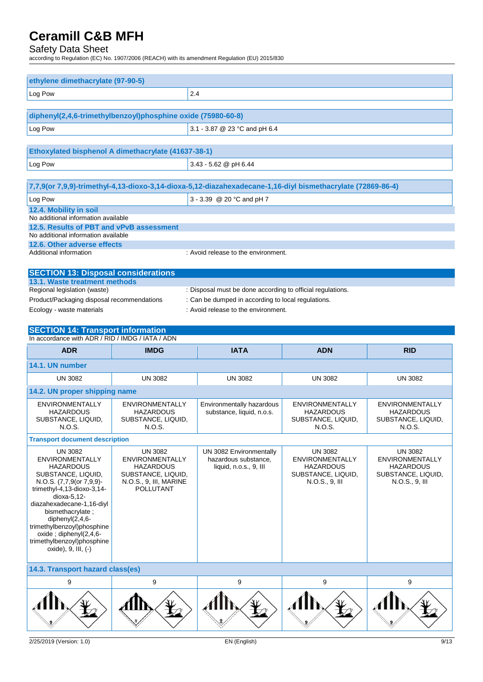### Safety Data Sheet

according to Regulation (EC) No. 1907/2006 (REACH) with its amendment Regulation (EU) 2015/830

| ethylene dimethacrylate (97-90-5)                                           |                                                     |                                                                                                             |                                            |                                            |
|-----------------------------------------------------------------------------|-----------------------------------------------------|-------------------------------------------------------------------------------------------------------------|--------------------------------------------|--------------------------------------------|
| Log Pow                                                                     | 2.4                                                 |                                                                                                             |                                            |                                            |
|                                                                             |                                                     |                                                                                                             |                                            |                                            |
| diphenyl(2,4,6-trimethylbenzoyl)phosphine oxide (75980-60-8)                |                                                     |                                                                                                             |                                            |                                            |
| Log Pow                                                                     |                                                     | 3.1 - 3.87 @ 23 °C and pH 6.4                                                                               |                                            |                                            |
|                                                                             | Ethoxylated bisphenol A dimethacrylate (41637-38-1) |                                                                                                             |                                            |                                            |
| Log Pow                                                                     |                                                     | 3.43 - 5.62 @ pH 6.44                                                                                       |                                            |                                            |
|                                                                             |                                                     |                                                                                                             |                                            |                                            |
|                                                                             |                                                     | 7,7,9(or 7,9,9)-trimethyl-4,13-dioxo-3,14-dioxa-5,12-diazahexadecane-1,16-diyl bismethacrylate (72869-86-4) |                                            |                                            |
| Log Pow                                                                     |                                                     | 3 - 3.39 @ 20 °C and pH 7                                                                                   |                                            |                                            |
| 12.4. Mobility in soil<br>No additional information available               |                                                     |                                                                                                             |                                            |                                            |
| 12.5. Results of PBT and vPvB assessment                                    |                                                     |                                                                                                             |                                            |                                            |
| No additional information available<br>12.6. Other adverse effects          |                                                     |                                                                                                             |                                            |                                            |
| Additional information                                                      |                                                     | : Avoid release to the environment.                                                                         |                                            |                                            |
|                                                                             |                                                     |                                                                                                             |                                            |                                            |
| <b>SECTION 13: Disposal considerations</b><br>13.1. Waste treatment methods |                                                     |                                                                                                             |                                            |                                            |
| Regional legislation (waste)                                                |                                                     | : Disposal must be done according to official regulations.                                                  |                                            |                                            |
| Product/Packaging disposal recommendations<br>Ecology - waste materials     |                                                     | : Can be dumped in according to local regulations.<br>: Avoid release to the environment.                   |                                            |                                            |
|                                                                             |                                                     |                                                                                                             |                                            |                                            |
| <b>SECTION 14: Transport information</b>                                    |                                                     |                                                                                                             |                                            |                                            |
| In accordance with ADR / RID / IMDG / IATA / ADN                            |                                                     |                                                                                                             |                                            |                                            |
|                                                                             |                                                     |                                                                                                             |                                            |                                            |
| <b>ADR</b>                                                                  | <b>IMDG</b>                                         | <b>IATA</b>                                                                                                 | <b>ADN</b>                                 | <b>RID</b>                                 |
| 14.1. UN number                                                             |                                                     |                                                                                                             |                                            |                                            |
| <b>UN 3082</b>                                                              | <b>UN 3082</b>                                      | <b>UN 3082</b>                                                                                              | <b>UN 3082</b>                             | <b>UN 3082</b>                             |
| 14.2. UN proper shipping name                                               |                                                     |                                                                                                             |                                            |                                            |
| <b>ENVIRONMENTALLY</b><br><b>HAZARDOUS</b>                                  | <b>ENVIRONMENTALLY</b><br><b>HAZARDOUS</b>          | Environmentally hazardous<br>substance, liquid, n.o.s.                                                      | ENVIRONMENTALLY<br><b>HAZARDOUS</b>        | <b>ENVIRONMENTALLY</b><br><b>HAZARDOUS</b> |
| SUBSTANCE, LIQUID,<br>N.O.S.                                                | SUBSTANCE, LIQUID,<br>N.O.S.                        |                                                                                                             | SUBSTANCE, LIQUID,                         | SUBSTANCE, LIQUID,                         |
| <b>Transport document description</b>                                       |                                                     |                                                                                                             | N.O.S.                                     | N.O.S.                                     |
| <b>UN 3082</b>                                                              | <b>UN 3082</b>                                      | UN 3082 Environmentally                                                                                     | <b>UN 3082</b>                             | <b>UN 3082</b>                             |
| <b>ENVIRONMENTALLY</b><br><b>HAZARDOUS</b>                                  | <b>ENVIRONMENTALLY</b><br><b>HAZARDOUS</b>          | hazardous substance,                                                                                        | <b>ENVIRONMENTALLY</b><br><b>HAZARDOUS</b> | <b>ENVIRONMENTALLY</b>                     |
| SUBSTANCE, LIQUID,                                                          | SUBSTANCE, LIQUID,                                  | liquid, n.o.s., 9, III                                                                                      | SUBSTANCE, LIQUID,                         | <b>HAZARDOUS</b><br>SUBSTANCE, LIQUID,     |
| N.O.S. (7,7,9(or 7,9,9)-<br>trimethyl-4,13-dioxo-3,14-                      | N.O.S., 9, III, MARINE<br><b>POLLUTANT</b>          |                                                                                                             | N.O.S., 9, III                             | N.O.S., 9, III                             |
| dioxa-5,12-<br>diazahexadecane-1,16-diyl                                    |                                                     |                                                                                                             |                                            |                                            |
| bismethacrylate;<br>diphenyl $(2,4,6$ -                                     |                                                     |                                                                                                             |                                            |                                            |
| trimethylbenzoyl)phosphine                                                  |                                                     |                                                                                                             |                                            |                                            |
| oxide; diphenyl(2,4,6-<br>trimethylbenzoyl)phosphine                        |                                                     |                                                                                                             |                                            |                                            |
| oxide), 9, III, (-)                                                         |                                                     |                                                                                                             |                                            |                                            |
| 14.3. Transport hazard class(es)                                            |                                                     |                                                                                                             |                                            |                                            |
| 9                                                                           | 9                                                   | 9                                                                                                           | 9                                          | 9                                          |

 $\frac{9}{2}$ 

V

 $\frac{9}{2}$ 

 $\widetilde{\mathscr{F}}$ 

 $\begin{matrix} \mathbf{9} \end{matrix}$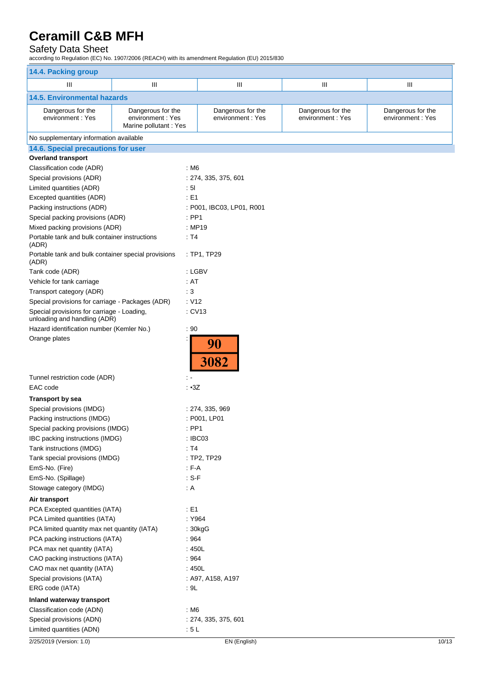### Safety Data Sheet

| 14.4. Packing group                                                        |                                                                |                                       |                                       |                                       |
|----------------------------------------------------------------------------|----------------------------------------------------------------|---------------------------------------|---------------------------------------|---------------------------------------|
| Ш                                                                          | Ш                                                              | Ш                                     | Ш                                     | Ш                                     |
| <b>14.5. Environmental hazards</b>                                         |                                                                |                                       |                                       |                                       |
| Dangerous for the<br>environment: Yes                                      | Dangerous for the<br>environment: Yes<br>Marine pollutant: Yes | Dangerous for the<br>environment: Yes | Dangerous for the<br>environment: Yes | Dangerous for the<br>environment: Yes |
| No supplementary information available                                     |                                                                |                                       |                                       |                                       |
| 14.6. Special precautions for user                                         |                                                                |                                       |                                       |                                       |
| <b>Overland transport</b>                                                  |                                                                |                                       |                                       |                                       |
| Classification code (ADR)                                                  | : M6                                                           |                                       |                                       |                                       |
| Special provisions (ADR)                                                   |                                                                | : 274, 335, 375, 601                  |                                       |                                       |
| Limited quantities (ADR)                                                   | :51                                                            |                                       |                                       |                                       |
| Excepted quantities (ADR)                                                  | $\therefore$ E1                                                |                                       |                                       |                                       |
| Packing instructions (ADR)                                                 |                                                                | : P001, IBC03, LP01, R001             |                                       |                                       |
| Special packing provisions (ADR)                                           | $:$ PP1                                                        |                                       |                                       |                                       |
| Mixed packing provisions (ADR)                                             |                                                                | : MP19                                |                                       |                                       |
| Portable tank and bulk container instructions<br>(ADR)                     | : T4                                                           |                                       |                                       |                                       |
| Portable tank and bulk container special provisions<br>(ADR)               |                                                                | : TP1, TP29                           |                                       |                                       |
| Tank code (ADR)                                                            |                                                                | : LGBV                                |                                       |                                       |
| Vehicle for tank carriage                                                  | : AT                                                           |                                       |                                       |                                       |
| Transport category (ADR)                                                   | $\therefore$ 3                                                 |                                       |                                       |                                       |
| Special provisions for carriage - Packages (ADR)                           | : V12                                                          |                                       |                                       |                                       |
| Special provisions for carriage - Loading,<br>unloading and handling (ADR) |                                                                | : CV13                                |                                       |                                       |
| Hazard identification number (Kemler No.)                                  | : 90                                                           |                                       |                                       |                                       |
| Orange plates                                                              |                                                                | 90<br>3082                            |                                       |                                       |
| Tunnel restriction code (ADR)                                              | ÷ -                                                            |                                       |                                       |                                       |
| EAC code                                                                   | : •3Z                                                          |                                       |                                       |                                       |
| <b>Transport by sea</b>                                                    |                                                                |                                       |                                       |                                       |
| Special provisions (IMDG)                                                  |                                                                | : 274, 335, 969                       |                                       |                                       |
| Packing instructions (IMDG)                                                |                                                                | : P001, LP01                          |                                       |                                       |
| Special packing provisions (IMDG)                                          |                                                                | $:$ PP1                               |                                       |                                       |
| IBC packing instructions (IMDG)                                            |                                                                | : IBC03                               |                                       |                                       |
| Tank instructions (IMDG)                                                   | : T4                                                           |                                       |                                       |                                       |
| Tank special provisions (IMDG)                                             |                                                                | : TP2, TP29                           |                                       |                                       |
| EmS-No. (Fire)                                                             | $F-A$                                                          |                                       |                                       |                                       |
| EmS-No. (Spillage)                                                         | $: S-F$                                                        |                                       |                                       |                                       |
| Stowage category (IMDG)                                                    | : A                                                            |                                       |                                       |                                       |
| Air transport                                                              |                                                                |                                       |                                       |                                       |
| PCA Excepted quantities (IATA)                                             | : E1                                                           |                                       |                                       |                                       |
| PCA Limited quantities (IATA)                                              |                                                                | : Y964                                |                                       |                                       |
| PCA limited quantity max net quantity (IATA)                               |                                                                | : 30kgG                               |                                       |                                       |
| PCA packing instructions (IATA)                                            | :964                                                           |                                       |                                       |                                       |
| PCA max net quantity (IATA)                                                |                                                                | : 450L                                |                                       |                                       |
| CAO packing instructions (IATA)                                            | :964                                                           |                                       |                                       |                                       |
| CAO max net quantity (IATA)                                                |                                                                | : 450L                                |                                       |                                       |
| Special provisions (IATA)                                                  |                                                                | : A97, A158, A197                     |                                       |                                       |
| ERG code (IATA)                                                            | : 9L                                                           |                                       |                                       |                                       |
| Inland waterway transport                                                  |                                                                |                                       |                                       |                                       |
| Classification code (ADN)                                                  | : M6                                                           |                                       |                                       |                                       |
| Special provisions (ADN)                                                   |                                                                | : 274, 335, 375, 601                  |                                       |                                       |
| Limited quantities (ADN)                                                   | : 5L                                                           |                                       |                                       |                                       |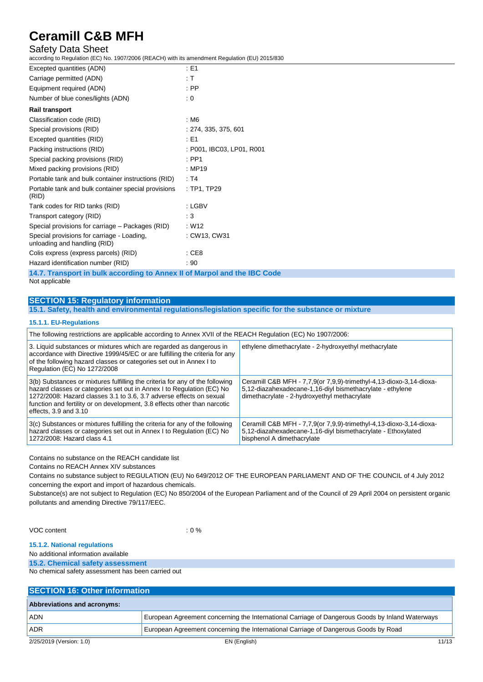### Safety Data Sheet

according to Regulation (EC) No. 1907/2006 (REACH) with its amendment Regulation (EU) 2015/830

| Excepted quantities (ADN)                                                  | $\therefore$ E1           |
|----------------------------------------------------------------------------|---------------------------|
| Carriage permitted (ADN)                                                   | : T                       |
| Equipment required (ADN)                                                   | $:$ PP                    |
| Number of blue cones/lights (ADN)                                          | : 0                       |
| <b>Rail transport</b>                                                      |                           |
| Classification code (RID)                                                  | : M6                      |
| Special provisions (RID)                                                   | : 274, 335, 375, 601      |
| Excepted quantities (RID)                                                  | $\pm 51$                  |
| Packing instructions (RID)                                                 | : P001, IBC03, LP01, R001 |
| Special packing provisions (RID)                                           | $:$ PP1                   |
| Mixed packing provisions (RID)                                             | : MP19                    |
| Portable tank and bulk container instructions (RID)                        | : T4                      |
| Portable tank and bulk container special provisions<br>(RID)               | : TP1, TP29               |
| Tank codes for RID tanks (RID)                                             | : LGBV                    |
| Transport category (RID)                                                   | : 3                       |
| Special provisions for carriage – Packages (RID)                           | : W12                     |
| Special provisions for carriage - Loading,<br>unloading and handling (RID) | : CW13, CW31              |
| Colis express (express parcels) (RID)                                      | : CE8                     |
| Hazard identification number (RID)                                         | : 90                      |
|                                                                            |                           |

**14.7. Transport in bulk according to Annex II of Marpol and the IBC Code** Not applicable

## **SECTION 15: Regulatory information**

**15.1. Safety, health and environmental regulations/legislation specific for the substance or mixture**

#### **15.1.1. EU-Regulations**

| The following restrictions are applicable according to Annex XVII of the REACH Regulation (EC) No 1907/2006:                                                                                                                                                                                                                           |                                                                                                                                                                                  |  |  |  |
|----------------------------------------------------------------------------------------------------------------------------------------------------------------------------------------------------------------------------------------------------------------------------------------------------------------------------------------|----------------------------------------------------------------------------------------------------------------------------------------------------------------------------------|--|--|--|
| 3. Liquid substances or mixtures which are regarded as dangerous in<br>accordance with Directive 1999/45/EC or are fulfilling the criteria for any<br>of the following hazard classes or categories set out in Annex I to<br>Regulation (EC) No 1272/2008                                                                              | ethylene dimethacrylate - 2-hydroxyethyl methacrylate                                                                                                                            |  |  |  |
| 3(b) Substances or mixtures fulfilling the criteria for any of the following<br>hazard classes or categories set out in Annex I to Regulation (EC) No<br>1272/2008: Hazard classes 3.1 to 3.6, 3.7 adverse effects on sexual<br>function and fertility or on development, 3.8 effects other than narcotic<br>effects, $3.9$ and $3.10$ | Ceramill C&B MFH - 7,7,9(or 7,9,9)-trimethyl-4,13-dioxo-3,14-dioxa-<br>5,12-diazahexadecane-1,16-diyl bismethacrylate - ethylene<br>dimethacrylate - 2-hydroxyethyl methacrylate |  |  |  |
| 3(c) Substances or mixtures fulfilling the criteria for any of the following<br>hazard classes or categories set out in Annex I to Regulation (EC) No<br>1272/2008: Hazard class 4.1                                                                                                                                                   | Ceramill C&B MFH - 7,7,9(or 7,9,9)-trimethyl-4,13-dioxo-3,14-dioxa-<br>5,12-diazahexadecane-1,16-diyl bismethacrylate - Ethoxylated<br>bisphenol A dimethacrylate                |  |  |  |

Contains no substance on the REACH candidate list

Contains no REACH Annex XIV substances

Contains no substance subject to REGULATION (EU) No 649/2012 OF THE EUROPEAN PARLIAMENT AND OF THE COUNCIL of 4 July 2012 concerning the export and import of hazardous chemicals.

Substance(s) are not subject to Regulation (EC) No 850/2004 of the European Parliament and of the Council of 29 April 2004 on persistent organic pollutants and amending Directive 79/117/EEC.

VOC content : 0 %

#### **15.1.2. National regulations**

No additional information available

**15.2. Chemical safety assessment**

No chemical safety assessment has been carried out

| <b>SECTION 16: Other information</b> |                                                                                                 |       |  |
|--------------------------------------|-------------------------------------------------------------------------------------------------|-------|--|
| <b>Abbreviations and acronyms:</b>   |                                                                                                 |       |  |
| <b>ADN</b>                           | European Agreement concerning the International Carriage of Dangerous Goods by Inland Waterways |       |  |
| <b>ADR</b>                           | European Agreement concerning the International Carriage of Dangerous Goods by Road             |       |  |
| 2/25/2019 (Version: 1.0)             | EN (English)                                                                                    | 11/13 |  |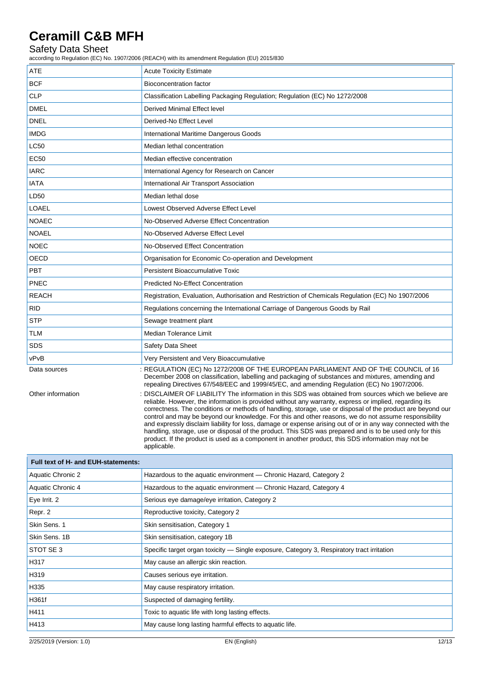### Safety Data Sheet

according to Regulation (EC) No. 1907/2006 (REACH) with its amendment Regulation (EU) 2015/830

| ATE               | <b>Acute Toxicity Estimate</b>                                                                                                                                                                                                                                                                                                                                                                                                                                                                                                                                                                                                                                                                                                                                                      |  |  |
|-------------------|-------------------------------------------------------------------------------------------------------------------------------------------------------------------------------------------------------------------------------------------------------------------------------------------------------------------------------------------------------------------------------------------------------------------------------------------------------------------------------------------------------------------------------------------------------------------------------------------------------------------------------------------------------------------------------------------------------------------------------------------------------------------------------------|--|--|
| <b>BCF</b>        | <b>Bioconcentration factor</b>                                                                                                                                                                                                                                                                                                                                                                                                                                                                                                                                                                                                                                                                                                                                                      |  |  |
| <b>CLP</b>        | Classification Labelling Packaging Regulation; Regulation (EC) No 1272/2008                                                                                                                                                                                                                                                                                                                                                                                                                                                                                                                                                                                                                                                                                                         |  |  |
| <b>DMEL</b>       | Derived Minimal Effect level                                                                                                                                                                                                                                                                                                                                                                                                                                                                                                                                                                                                                                                                                                                                                        |  |  |
| <b>DNEL</b>       | Derived-No Effect Level                                                                                                                                                                                                                                                                                                                                                                                                                                                                                                                                                                                                                                                                                                                                                             |  |  |
| <b>IMDG</b>       | International Maritime Dangerous Goods                                                                                                                                                                                                                                                                                                                                                                                                                                                                                                                                                                                                                                                                                                                                              |  |  |
| <b>LC50</b>       | Median lethal concentration                                                                                                                                                                                                                                                                                                                                                                                                                                                                                                                                                                                                                                                                                                                                                         |  |  |
| <b>EC50</b>       | Median effective concentration                                                                                                                                                                                                                                                                                                                                                                                                                                                                                                                                                                                                                                                                                                                                                      |  |  |
| <b>IARC</b>       | International Agency for Research on Cancer                                                                                                                                                                                                                                                                                                                                                                                                                                                                                                                                                                                                                                                                                                                                         |  |  |
| <b>IATA</b>       | International Air Transport Association                                                                                                                                                                                                                                                                                                                                                                                                                                                                                                                                                                                                                                                                                                                                             |  |  |
| LD50              | Median lethal dose                                                                                                                                                                                                                                                                                                                                                                                                                                                                                                                                                                                                                                                                                                                                                                  |  |  |
| LOAEL             | Lowest Observed Adverse Effect Level                                                                                                                                                                                                                                                                                                                                                                                                                                                                                                                                                                                                                                                                                                                                                |  |  |
| <b>NOAEC</b>      | No-Observed Adverse Effect Concentration                                                                                                                                                                                                                                                                                                                                                                                                                                                                                                                                                                                                                                                                                                                                            |  |  |
| <b>NOAEL</b>      | No-Observed Adverse Effect Level                                                                                                                                                                                                                                                                                                                                                                                                                                                                                                                                                                                                                                                                                                                                                    |  |  |
| <b>NOEC</b>       | No-Observed Effect Concentration                                                                                                                                                                                                                                                                                                                                                                                                                                                                                                                                                                                                                                                                                                                                                    |  |  |
| OECD              | Organisation for Economic Co-operation and Development                                                                                                                                                                                                                                                                                                                                                                                                                                                                                                                                                                                                                                                                                                                              |  |  |
| <b>PBT</b>        | <b>Persistent Bioaccumulative Toxic</b>                                                                                                                                                                                                                                                                                                                                                                                                                                                                                                                                                                                                                                                                                                                                             |  |  |
| <b>PNEC</b>       | <b>Predicted No-Effect Concentration</b>                                                                                                                                                                                                                                                                                                                                                                                                                                                                                                                                                                                                                                                                                                                                            |  |  |
| <b>REACH</b>      | Registration, Evaluation, Authorisation and Restriction of Chemicals Regulation (EC) No 1907/2006                                                                                                                                                                                                                                                                                                                                                                                                                                                                                                                                                                                                                                                                                   |  |  |
| RID               | Regulations concerning the International Carriage of Dangerous Goods by Rail                                                                                                                                                                                                                                                                                                                                                                                                                                                                                                                                                                                                                                                                                                        |  |  |
| <b>STP</b>        | Sewage treatment plant                                                                                                                                                                                                                                                                                                                                                                                                                                                                                                                                                                                                                                                                                                                                                              |  |  |
| TLM               | Median Tolerance Limit                                                                                                                                                                                                                                                                                                                                                                                                                                                                                                                                                                                                                                                                                                                                                              |  |  |
| <b>SDS</b>        | Safety Data Sheet                                                                                                                                                                                                                                                                                                                                                                                                                                                                                                                                                                                                                                                                                                                                                                   |  |  |
| vPvB              | Very Persistent and Very Bioaccumulative                                                                                                                                                                                                                                                                                                                                                                                                                                                                                                                                                                                                                                                                                                                                            |  |  |
| Data sources      | : REGULATION (EC) No 1272/2008 OF THE EUROPEAN PARLIAMENT AND OF THE COUNCIL of 16<br>December 2008 on classification, labelling and packaging of substances and mixtures, amending and<br>repealing Directives 67/548/EEC and 1999/45/EC, and amending Regulation (EC) No 1907/2006.                                                                                                                                                                                                                                                                                                                                                                                                                                                                                               |  |  |
| Other information | DISCLAIMER OF LIABILITY The information in this SDS was obtained from sources which we believe are<br>reliable. However, the information is provided without any warranty, express or implied, regarding its<br>correctness. The conditions or methods of handling, storage, use or disposal of the product are beyond our<br>control and may be beyond our knowledge. For this and other reasons, we do not assume responsibility<br>and expressly disclaim liability for loss, damage or expense arising out of or in any way connected with the<br>handling, storage, use or disposal of the product. This SDS was prepared and is to be used only for this<br>product. If the product is used as a component in another product, this SDS information may not be<br>applicable. |  |  |

| Full text of H- and EUH-statements: |                                                                                            |  |  |
|-------------------------------------|--------------------------------------------------------------------------------------------|--|--|
| Aquatic Chronic 2                   | Hazardous to the aquatic environment — Chronic Hazard, Category 2                          |  |  |
| Aquatic Chronic 4                   | Hazardous to the aquatic environment — Chronic Hazard, Category 4                          |  |  |
| Eye Irrit. 2                        | Serious eye damage/eye irritation, Category 2                                              |  |  |
| Repr. 2                             | Reproductive toxicity, Category 2                                                          |  |  |
| Skin Sens, 1                        | Skin sensitisation, Category 1                                                             |  |  |
| Skin Sens, 1B                       | Skin sensitisation, category 1B                                                            |  |  |
| STOT SE 3                           | Specific target organ toxicity — Single exposure, Category 3, Respiratory tract irritation |  |  |
| H317                                | May cause an allergic skin reaction.                                                       |  |  |
| H319                                | Causes serious eye irritation.                                                             |  |  |
| H335                                | May cause respiratory irritation.                                                          |  |  |
| H361f                               | Suspected of damaging fertility.                                                           |  |  |
| H411                                | Toxic to aquatic life with long lasting effects.                                           |  |  |
| H413                                | May cause long lasting harmful effects to aquatic life.                                    |  |  |
|                                     |                                                                                            |  |  |

 $\mathbf{r}$